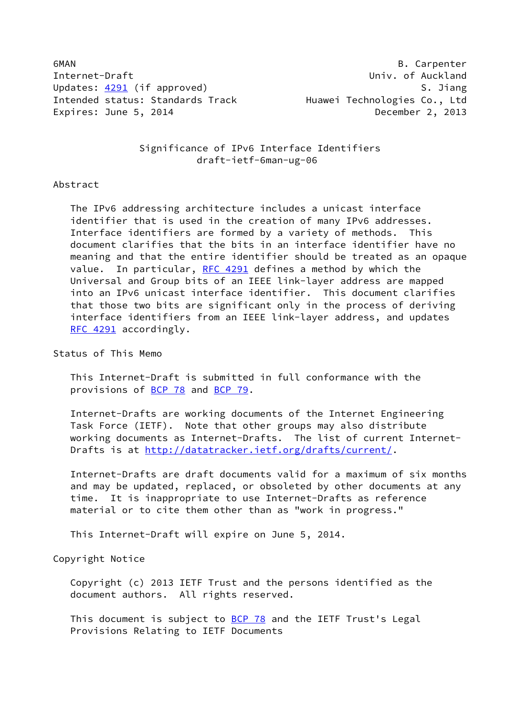6MAN B. Carpenter Internet-Draft **Contract Contract Contract Contract Contract Contract Contract Contract Contract Contract Contract** Updates: [4291](https://datatracker.ietf.org/doc/pdf/rfc4291) (if approved) S. Jiang Intended status: Standards Track Huawei Technologies Co., Ltd Expires: June 5, 2014 December 2, 2013

 Significance of IPv6 Interface Identifiers draft-ietf-6man-ug-06

#### Abstract

 The IPv6 addressing architecture includes a unicast interface identifier that is used in the creation of many IPv6 addresses. Interface identifiers are formed by a variety of methods. This document clarifies that the bits in an interface identifier have no meaning and that the entire identifier should be treated as an opaque value. In particular, [RFC 4291](https://datatracker.ietf.org/doc/pdf/rfc4291) defines a method by which the Universal and Group bits of an IEEE link-layer address are mapped into an IPv6 unicast interface identifier. This document clarifies that those two bits are significant only in the process of deriving interface identifiers from an IEEE link-layer address, and updates [RFC 4291](https://datatracker.ietf.org/doc/pdf/rfc4291) accordingly.

#### Status of This Memo

 This Internet-Draft is submitted in full conformance with the provisions of [BCP 78](https://datatracker.ietf.org/doc/pdf/bcp78) and [BCP 79](https://datatracker.ietf.org/doc/pdf/bcp79).

 Internet-Drafts are working documents of the Internet Engineering Task Force (IETF). Note that other groups may also distribute working documents as Internet-Drafts. The list of current Internet- Drafts is at<http://datatracker.ietf.org/drafts/current/>.

 Internet-Drafts are draft documents valid for a maximum of six months and may be updated, replaced, or obsoleted by other documents at any time. It is inappropriate to use Internet-Drafts as reference material or to cite them other than as "work in progress."

This Internet-Draft will expire on June 5, 2014.

# Copyright Notice

 Copyright (c) 2013 IETF Trust and the persons identified as the document authors. All rights reserved.

This document is subject to **[BCP 78](https://datatracker.ietf.org/doc/pdf/bcp78)** and the IETF Trust's Legal Provisions Relating to IETF Documents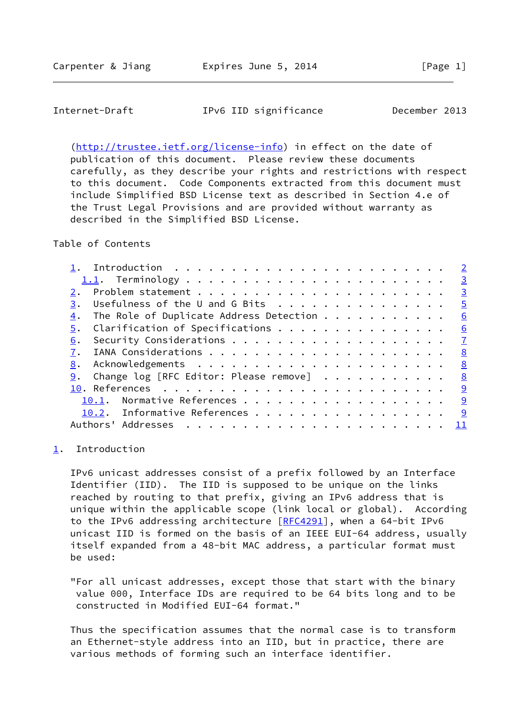## <span id="page-1-1"></span>Internet-Draft IPv6 IID significance December 2013

 [\(http://trustee.ietf.org/license-info](http://trustee.ietf.org/license-info)) in effect on the date of publication of this document. Please review these documents carefully, as they describe your rights and restrictions with respect to this document. Code Components extracted from this document must include Simplified BSD License text as described in Section 4.e of the Trust Legal Provisions and are provided without warranty as described in the Simplified BSD License.

Table of Contents

|                                                        | $\overline{2}$          |
|--------------------------------------------------------|-------------------------|
|                                                        | $\overline{\mathbf{3}}$ |
| 2.                                                     | $\overline{\mathbf{3}}$ |
| Usefulness of the U and G Bits<br>3.                   | $\overline{5}$          |
| The Role of Duplicate Address Detection $\cdots$<br>4. | 6                       |
| $\overline{5}$ . Clarification of Specifications       | 6                       |
| 6.                                                     | $\mathbf{Z}$            |
|                                                        | <u>8</u>                |
| 8.                                                     | 8                       |
| Change log [RFC Editor: Please remove]<br>9.           | 8                       |
|                                                        | <u>_9</u>               |
| 10.1. Normative References                             | <u> ୨</u>               |
| 10.2. Informative References                           | <u>9</u>                |
| Authors' Addresses                                     | -11                     |
|                                                        |                         |

#### <span id="page-1-0"></span>[1](#page-1-0). Introduction

 IPv6 unicast addresses consist of a prefix followed by an Interface Identifier (IID). The IID is supposed to be unique on the links reached by routing to that prefix, giving an IPv6 address that is unique within the applicable scope (link local or global). According to the IPv6 addressing architecture [\[RFC4291](https://datatracker.ietf.org/doc/pdf/rfc4291)], when a 64-bit IPv6 unicast IID is formed on the basis of an IEEE EUI-64 address, usually itself expanded from a 48-bit MAC address, a particular format must be used:

 "For all unicast addresses, except those that start with the binary value 000, Interface IDs are required to be 64 bits long and to be constructed in Modified EUI-64 format."

 Thus the specification assumes that the normal case is to transform an Ethernet-style address into an IID, but in practice, there are various methods of forming such an interface identifier.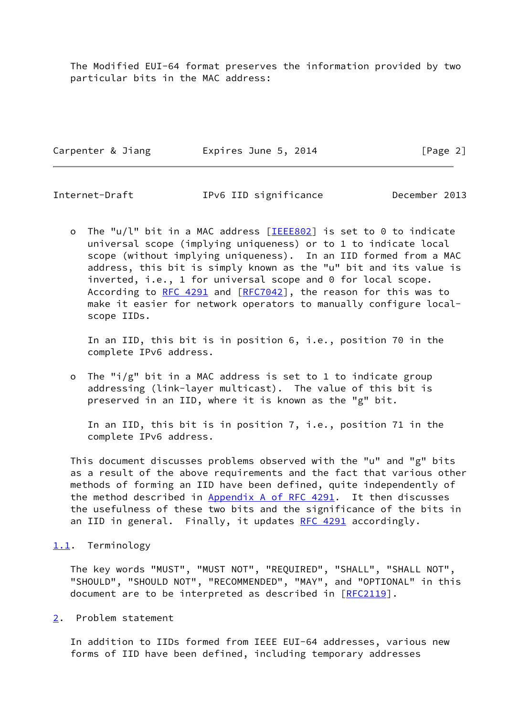The Modified EUI-64 format preserves the information provided by two particular bits in the MAC address:

Carpenter & Jiang **Expires June 5, 2014** [Page 2]

<span id="page-2-1"></span>Internet-Draft IPv6 IID significance December 2013

o The "u/l" bit in a MAC address  $[IEEE802]$  $[IEEE802]$  $[IEEE802]$  is set to 0 to indicate universal scope (implying uniqueness) or to 1 to indicate local scope (without implying uniqueness). In an IID formed from a MAC address, this bit is simply known as the "u" bit and its value is inverted, i.e., 1 for universal scope and 0 for local scope. According to [RFC 4291](https://datatracker.ietf.org/doc/pdf/rfc4291) and [\[RFC7042](https://datatracker.ietf.org/doc/pdf/rfc7042)], the reason for this was to make it easier for network operators to manually configure local scope IIDs.

 In an IID, this bit is in position 6, i.e., position 70 in the complete IPv6 address.

 o The "i/g" bit in a MAC address is set to 1 to indicate group addressing (link-layer multicast). The value of this bit is preserved in an IID, where it is known as the "g" bit.

 In an IID, this bit is in position 7, i.e., position 71 in the complete IPv6 address.

 This document discusses problems observed with the "u" and "g" bits as a result of the above requirements and the fact that various other methods of forming an IID have been defined, quite independently of the method described in Appendix [A of RFC 4291](https://datatracker.ietf.org/doc/pdf/rfc4291#appendix-A). It then discusses the usefulness of these two bits and the significance of the bits in an IID in general. Finally, it updates [RFC 4291](https://datatracker.ietf.org/doc/pdf/rfc4291) accordingly.

## <span id="page-2-0"></span>[1.1](#page-2-0). Terminology

 The key words "MUST", "MUST NOT", "REQUIRED", "SHALL", "SHALL NOT", "SHOULD", "SHOULD NOT", "RECOMMENDED", "MAY", and "OPTIONAL" in this document are to be interpreted as described in [\[RFC2119](https://datatracker.ietf.org/doc/pdf/rfc2119)].

<span id="page-2-2"></span>[2](#page-2-2). Problem statement

 In addition to IIDs formed from IEEE EUI-64 addresses, various new forms of IID have been defined, including temporary addresses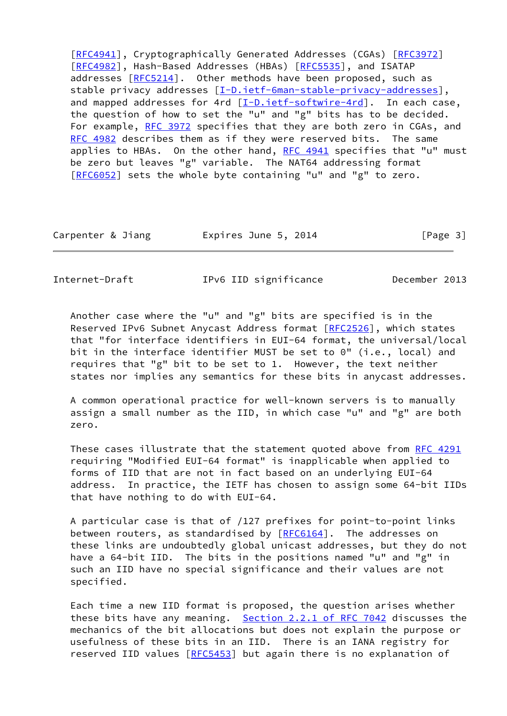[\[RFC4941](https://datatracker.ietf.org/doc/pdf/rfc4941)], Cryptographically Generated Addresses (CGAs) [\[RFC3972](https://datatracker.ietf.org/doc/pdf/rfc3972)] [\[RFC4982](https://datatracker.ietf.org/doc/pdf/rfc4982)], Hash-Based Addresses (HBAs) [\[RFC5535](https://datatracker.ietf.org/doc/pdf/rfc5535)], and ISATAP addresses [[RFC5214](https://datatracker.ietf.org/doc/pdf/rfc5214)]. Other methods have been proposed, such as stable privacy addresses [\[I-D.ietf-6man-stable-privacy-addresses](#page-9-4)], and mapped addresses for 4rd  $[I-D.ietf-softwire-4rd]$ . In each case, the question of how to set the "u" and "g" bits has to be decided. For example, [RFC 3972](https://datatracker.ietf.org/doc/pdf/rfc3972) specifies that they are both zero in CGAs, and [RFC 4982](https://datatracker.ietf.org/doc/pdf/rfc4982) describes them as if they were reserved bits. The same applies to HBAs. On the other hand, RFC  $4941$  specifies that "u" must be zero but leaves "g" variable. The NAT64 addressing format [\[RFC6052](https://datatracker.ietf.org/doc/pdf/rfc6052)] sets the whole byte containing "u" and "g" to zero.

| Carpenter & Jiang | Expires June 5, 2014 | [Page 3] |
|-------------------|----------------------|----------|
|-------------------|----------------------|----------|

Internet-Draft IPv6 IID significance December 2013

 Another case where the "u" and "g" bits are specified is in the Reserved IPv6 Subnet Anycast Address format [\[RFC2526](https://datatracker.ietf.org/doc/pdf/rfc2526)], which states that "for interface identifiers in EUI-64 format, the universal/local bit in the interface identifier MUST be set to 0" (i.e., local) and requires that "g" bit to be set to 1. However, the text neither states nor implies any semantics for these bits in anycast addresses.

 A common operational practice for well-known servers is to manually assign a small number as the IID, in which case "u" and "g" are both zero.

 These cases illustrate that the statement quoted above from [RFC 4291](https://datatracker.ietf.org/doc/pdf/rfc4291) requiring "Modified EUI-64 format" is inapplicable when applied to forms of IID that are not in fact based on an underlying EUI-64 address. In practice, the IETF has chosen to assign some 64-bit IIDs that have nothing to do with EUI-64.

 A particular case is that of /127 prefixes for point-to-point links between routers, as standardised by [\[RFC6164](https://datatracker.ietf.org/doc/pdf/rfc6164)]. The addresses on these links are undoubtedly global unicast addresses, but they do not have a 64-bit IID. The bits in the positions named "u" and "g" in such an IID have no special significance and their values are not specified.

 Each time a new IID format is proposed, the question arises whether these bits have any meaning. Section [2.2.1 of RFC 7042](https://datatracker.ietf.org/doc/pdf/rfc7042#section-2.2.1) discusses the mechanics of the bit allocations but does not explain the purpose or usefulness of these bits in an IID. There is an IANA registry for reserved IID values [\[RFC5453](https://datatracker.ietf.org/doc/pdf/rfc5453)] but again there is no explanation of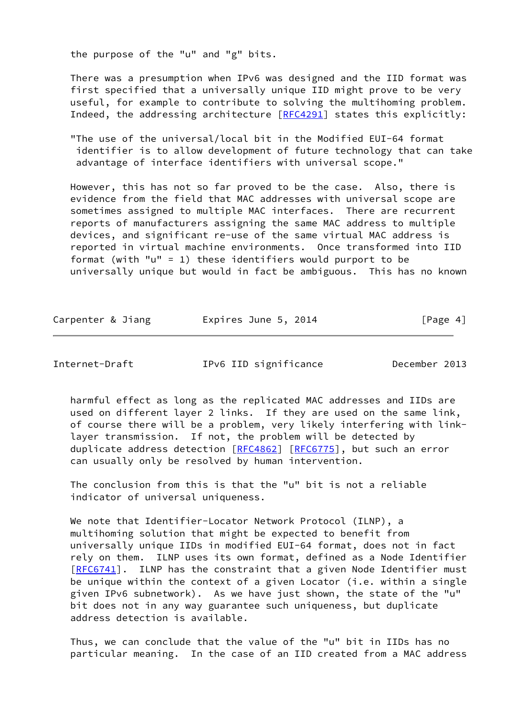the purpose of the "u" and "g" bits.

 There was a presumption when IPv6 was designed and the IID format was first specified that a universally unique IID might prove to be very useful, for example to contribute to solving the multihoming problem. Indeed, the addressing architecture [\[RFC4291](https://datatracker.ietf.org/doc/pdf/rfc4291)] states this explicitly:

 "The use of the universal/local bit in the Modified EUI-64 format identifier is to allow development of future technology that can take advantage of interface identifiers with universal scope."

 However, this has not so far proved to be the case. Also, there is evidence from the field that MAC addresses with universal scope are sometimes assigned to multiple MAC interfaces. There are recurrent reports of manufacturers assigning the same MAC address to multiple devices, and significant re-use of the same virtual MAC address is reported in virtual machine environments. Once transformed into IID format (with "u" = 1) these identifiers would purport to be universally unique but would in fact be ambiguous. This has no known

| Carpenter & Jiang | Expires June 5, 2014 | [Page 4] |
|-------------------|----------------------|----------|
|                   |                      |          |

<span id="page-4-0"></span>Internet-Draft IPv6 IID significance December 2013

 harmful effect as long as the replicated MAC addresses and IIDs are used on different layer 2 links. If they are used on the same link, of course there will be a problem, very likely interfering with link layer transmission. If not, the problem will be detected by duplicate address detection [\[RFC4862](https://datatracker.ietf.org/doc/pdf/rfc4862)] [[RFC6775](https://datatracker.ietf.org/doc/pdf/rfc6775)], but such an error can usually only be resolved by human intervention.

 The conclusion from this is that the "u" bit is not a reliable indicator of universal uniqueness.

 We note that Identifier-Locator Network Protocol (ILNP), a multihoming solution that might be expected to benefit from universally unique IIDs in modified EUI-64 format, does not in fact rely on them. ILNP uses its own format, defined as a Node Identifier [\[RFC6741](https://datatracker.ietf.org/doc/pdf/rfc6741)]. ILNP has the constraint that a given Node Identifier must be unique within the context of a given Locator (i.e. within a single given IPv6 subnetwork). As we have just shown, the state of the "u" bit does not in any way guarantee such uniqueness, but duplicate address detection is available.

 Thus, we can conclude that the value of the "u" bit in IIDs has no particular meaning. In the case of an IID created from a MAC address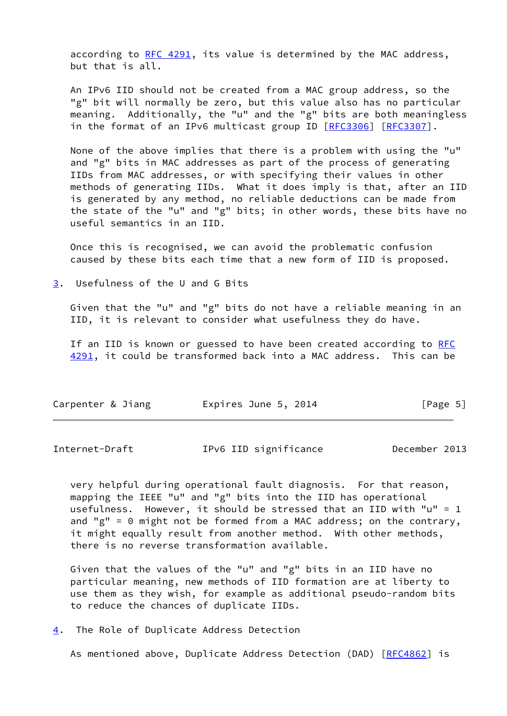according to [RFC 4291](https://datatracker.ietf.org/doc/pdf/rfc4291), its value is determined by the MAC address, but that is all.

 An IPv6 IID should not be created from a MAC group address, so the "g" bit will normally be zero, but this value also has no particular meaning. Additionally, the "u" and the "g" bits are both meaningless in the format of an IPv6 multicast group ID [\[RFC3306](https://datatracker.ietf.org/doc/pdf/rfc3306)] [[RFC3307](https://datatracker.ietf.org/doc/pdf/rfc3307)].

 None of the above implies that there is a problem with using the "u" and "g" bits in MAC addresses as part of the process of generating IIDs from MAC addresses, or with specifying their values in other methods of generating IIDs. What it does imply is that, after an IID is generated by any method, no reliable deductions can be made from the state of the "u" and "g" bits; in other words, these bits have no useful semantics in an IID.

 Once this is recognised, we can avoid the problematic confusion caused by these bits each time that a new form of IID is proposed.

<span id="page-5-0"></span>[3](#page-5-0). Usefulness of the U and G Bits

 Given that the "u" and "g" bits do not have a reliable meaning in an IID, it is relevant to consider what usefulness they do have.

If an IID is known or guessed to have been created according to [RFC](https://datatracker.ietf.org/doc/pdf/rfc4291) [4291](https://datatracker.ietf.org/doc/pdf/rfc4291), it could be transformed back into a MAC address. This can be

| Carpenter & Jiang | Expires June 5, 2014 | [Page 5] |
|-------------------|----------------------|----------|
|                   |                      |          |

<span id="page-5-2"></span>Internet-Draft IPv6 IID significance December 2013

 very helpful during operational fault diagnosis. For that reason, mapping the IEEE "u" and "g" bits into the IID has operational usefulness. However, it should be stressed that an IID with "u" = 1 and "g" = 0 might not be formed from a MAC address; on the contrary, it might equally result from another method. With other methods, there is no reverse transformation available.

 Given that the values of the "u" and "g" bits in an IID have no particular meaning, new methods of IID formation are at liberty to use them as they wish, for example as additional pseudo-random bits to reduce the chances of duplicate IIDs.

<span id="page-5-1"></span>[4](#page-5-1). The Role of Duplicate Address Detection

As mentioned above, Duplicate Address Detection (DAD) [[RFC4862](https://datatracker.ietf.org/doc/pdf/rfc4862)] is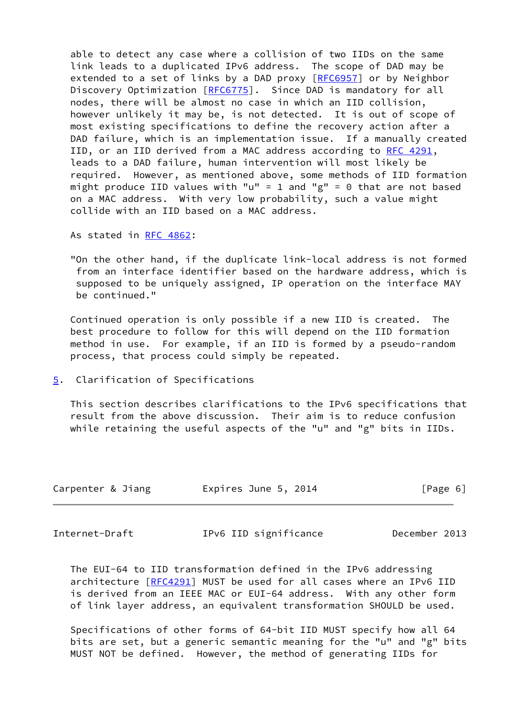able to detect any case where a collision of two IIDs on the same link leads to a duplicated IPv6 address. The scope of DAD may be extended to a set of links by a DAD proxy [[RFC6957](https://datatracker.ietf.org/doc/pdf/rfc6957)] or by Neighbor Discovery Optimization [\[RFC6775](https://datatracker.ietf.org/doc/pdf/rfc6775)]. Since DAD is mandatory for all nodes, there will be almost no case in which an IID collision, however unlikely it may be, is not detected. It is out of scope of most existing specifications to define the recovery action after a DAD failure, which is an implementation issue. If a manually created IID, or an IID derived from a MAC address according to [RFC 4291,](https://datatracker.ietf.org/doc/pdf/rfc4291) leads to a DAD failure, human intervention will most likely be required. However, as mentioned above, some methods of IID formation might produce IID values with "u" = 1 and "g" = 0 that are not based on a MAC address. With very low probability, such a value might collide with an IID based on a MAC address.

As stated in [RFC 4862](https://datatracker.ietf.org/doc/pdf/rfc4862):

 "On the other hand, if the duplicate link-local address is not formed from an interface identifier based on the hardware address, which is supposed to be uniquely assigned, IP operation on the interface MAY be continued."

 Continued operation is only possible if a new IID is created. The best procedure to follow for this will depend on the IID formation method in use. For example, if an IID is formed by a pseudo-random process, that process could simply be repeated.

<span id="page-6-0"></span>[5](#page-6-0). Clarification of Specifications

 This section describes clarifications to the IPv6 specifications that result from the above discussion. Their aim is to reduce confusion while retaining the useful aspects of the "u" and "g" bits in IIDs.

| Carpenter & Jiang | Expires June 5, 2014 | [Page 6] |
|-------------------|----------------------|----------|
|                   |                      |          |

<span id="page-6-1"></span>Internet-Draft IPv6 IID significance December 2013

 The EUI-64 to IID transformation defined in the IPv6 addressing architecture [\[RFC4291](https://datatracker.ietf.org/doc/pdf/rfc4291)] MUST be used for all cases where an IPv6 IID is derived from an IEEE MAC or EUI-64 address. With any other form of link layer address, an equivalent transformation SHOULD be used.

 Specifications of other forms of 64-bit IID MUST specify how all 64 bits are set, but a generic semantic meaning for the "u" and "g" bits MUST NOT be defined. However, the method of generating IIDs for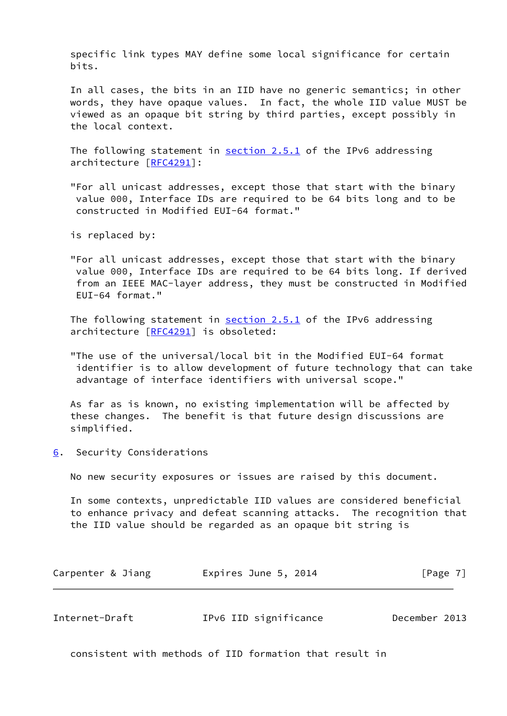specific link types MAY define some local significance for certain bits.

 In all cases, the bits in an IID have no generic semantics; in other words, they have opaque values. In fact, the whole IID value MUST be viewed as an opaque bit string by third parties, except possibly in the local context.

The following statement in **section 2.5.1** of the IPv6 addressing architecture [\[RFC4291](https://datatracker.ietf.org/doc/pdf/rfc4291)]:

 "For all unicast addresses, except those that start with the binary value 000, Interface IDs are required to be 64 bits long and to be constructed in Modified EUI-64 format."

is replaced by:

 "For all unicast addresses, except those that start with the binary value 000, Interface IDs are required to be 64 bits long. If derived from an IEEE MAC-layer address, they must be constructed in Modified EUI-64 format."

The following statement in section 2.5.1 of the IPv6 addressing architecture [\[RFC4291](https://datatracker.ietf.org/doc/pdf/rfc4291)] is obsoleted:

 "The use of the universal/local bit in the Modified EUI-64 format identifier is to allow development of future technology that can take advantage of interface identifiers with universal scope."

 As far as is known, no existing implementation will be affected by these changes. The benefit is that future design discussions are simplified.

<span id="page-7-0"></span>[6](#page-7-0). Security Considerations

No new security exposures or issues are raised by this document.

 In some contexts, unpredictable IID values are considered beneficial to enhance privacy and defeat scanning attacks. The recognition that the IID value should be regarded as an opaque bit string is

| Carpenter & Jiang | Expires June 5, 2014 | [Page 7] |
|-------------------|----------------------|----------|
|-------------------|----------------------|----------|

<span id="page-7-1"></span>

| IPv6 IID significance<br>December 2013<br>Internet-Draft |  |
|----------------------------------------------------------|--|
|----------------------------------------------------------|--|

consistent with methods of IID formation that result in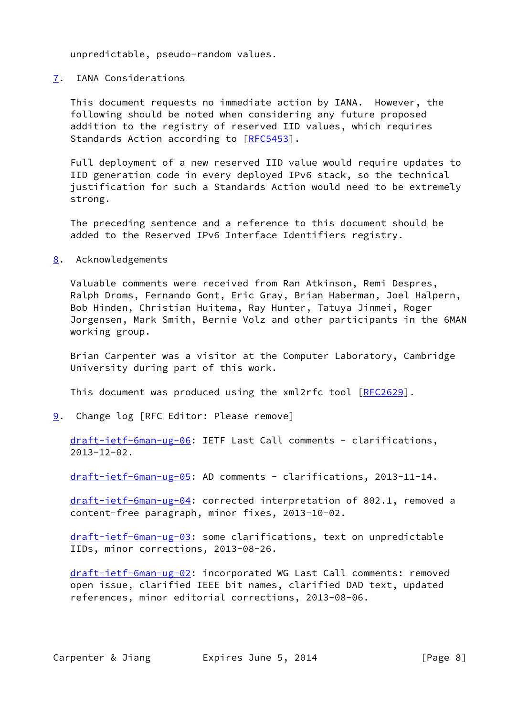unpredictable, pseudo-random values.

<span id="page-8-0"></span>[7](#page-8-0). IANA Considerations

 This document requests no immediate action by IANA. However, the following should be noted when considering any future proposed addition to the registry of reserved IID values, which requires Standards Action according to [[RFC5453](https://datatracker.ietf.org/doc/pdf/rfc5453)].

 Full deployment of a new reserved IID value would require updates to IID generation code in every deployed IPv6 stack, so the technical justification for such a Standards Action would need to be extremely strong.

 The preceding sentence and a reference to this document should be added to the Reserved IPv6 Interface Identifiers registry.

<span id="page-8-1"></span>[8](#page-8-1). Acknowledgements

 Valuable comments were received from Ran Atkinson, Remi Despres, Ralph Droms, Fernando Gont, Eric Gray, Brian Haberman, Joel Halpern, Bob Hinden, Christian Huitema, Ray Hunter, Tatuya Jinmei, Roger Jorgensen, Mark Smith, Bernie Volz and other participants in the 6MAN working group.

 Brian Carpenter was a visitor at the Computer Laboratory, Cambridge University during part of this work.

This document was produced using the xml2rfc tool [[RFC2629](https://datatracker.ietf.org/doc/pdf/rfc2629)].

<span id="page-8-2"></span>[9](#page-8-2). Change log [RFC Editor: Please remove]

 [draft-ietf-6man-ug-06](https://datatracker.ietf.org/doc/pdf/draft-ietf-6man-ug-06): IETF Last Call comments - clarifications, 2013-12-02.

[draft-ietf-6man-ug-05](https://datatracker.ietf.org/doc/pdf/draft-ietf-6man-ug-05): AD comments - clarifications, 2013-11-14.

 [draft-ietf-6man-ug-04](https://datatracker.ietf.org/doc/pdf/draft-ietf-6man-ug-04): corrected interpretation of 802.1, removed a content-free paragraph, minor fixes, 2013-10-02.

 [draft-ietf-6man-ug-03](https://datatracker.ietf.org/doc/pdf/draft-ietf-6man-ug-03): some clarifications, text on unpredictable IIDs, minor corrections, 2013-08-26.

 [draft-ietf-6man-ug-02](https://datatracker.ietf.org/doc/pdf/draft-ietf-6man-ug-02): incorporated WG Last Call comments: removed open issue, clarified IEEE bit names, clarified DAD text, updated references, minor editorial corrections, 2013-08-06.

Carpenter & Jiang **Expires June 5, 2014** [Page 8]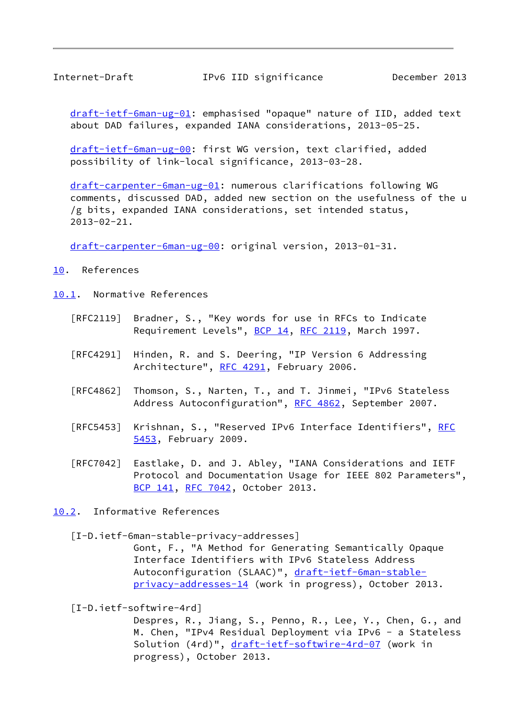<span id="page-9-1"></span>Internet-Draft IPv6 IID significance December 2013

 [draft-ietf-6man-ug-01](https://datatracker.ietf.org/doc/pdf/draft-ietf-6man-ug-01): emphasised "opaque" nature of IID, added text about DAD failures, expanded IANA considerations, 2013-05-25.

 [draft-ietf-6man-ug-00](https://datatracker.ietf.org/doc/pdf/draft-ietf-6man-ug-00): first WG version, text clarified, added possibility of link-local significance, 2013-03-28.

 [draft-carpenter-6man-ug-01](https://datatracker.ietf.org/doc/pdf/draft-carpenter-6man-ug-01): numerous clarifications following WG comments, discussed DAD, added new section on the usefulness of the u /g bits, expanded IANA considerations, set intended status, 2013-02-21.

[draft-carpenter-6man-ug-00](https://datatracker.ietf.org/doc/pdf/draft-carpenter-6man-ug-00): original version, 2013-01-31.

<span id="page-9-0"></span>[10.](#page-9-0) References

<span id="page-9-2"></span>[10.1](#page-9-2). Normative References

- [RFC2119] Bradner, S., "Key words for use in RFCs to Indicate Requirement Levels", [BCP 14](https://datatracker.ietf.org/doc/pdf/bcp14), [RFC 2119](https://datatracker.ietf.org/doc/pdf/rfc2119), March 1997.
- [RFC4291] Hinden, R. and S. Deering, "IP Version 6 Addressing Architecture", [RFC 4291](https://datatracker.ietf.org/doc/pdf/rfc4291), February 2006.
- [RFC4862] Thomson, S., Narten, T., and T. Jinmei, "IPv6 Stateless Address Autoconfiguration", [RFC 4862,](https://datatracker.ietf.org/doc/pdf/rfc4862) September 2007.
- [RFC5453] Krishnan, S., "Reserved IPv6 Interface Identifiers", [RFC](https://datatracker.ietf.org/doc/pdf/rfc5453) [5453,](https://datatracker.ietf.org/doc/pdf/rfc5453) February 2009.
- [RFC7042] Eastlake, D. and J. Abley, "IANA Considerations and IETF Protocol and Documentation Usage for IEEE 802 Parameters", [BCP 141](https://datatracker.ietf.org/doc/pdf/bcp141), [RFC 7042,](https://datatracker.ietf.org/doc/pdf/rfc7042) October 2013.
- <span id="page-9-3"></span>[10.2](#page-9-3). Informative References

<span id="page-9-4"></span>[I-D.ietf-6man-stable-privacy-addresses]

 Gont, F., "A Method for Generating Semantically Opaque Interface Identifiers with IPv6 Stateless Address Autoconfiguration (SLAAC)", [draft-ietf-6man-stable](https://datatracker.ietf.org/doc/pdf/draft-ietf-6man-stable-privacy-addresses-14) [privacy-addresses-14](https://datatracker.ietf.org/doc/pdf/draft-ietf-6man-stable-privacy-addresses-14) (work in progress), October 2013.

<span id="page-9-5"></span>[I-D.ietf-softwire-4rd]

 Despres, R., Jiang, S., Penno, R., Lee, Y., Chen, G., and M. Chen, "IPv4 Residual Deployment via IPv6 - a Stateless Solution (4rd)", [draft-ietf-softwire-4rd-07](https://datatracker.ietf.org/doc/pdf/draft-ietf-softwire-4rd-07) (work in progress), October 2013.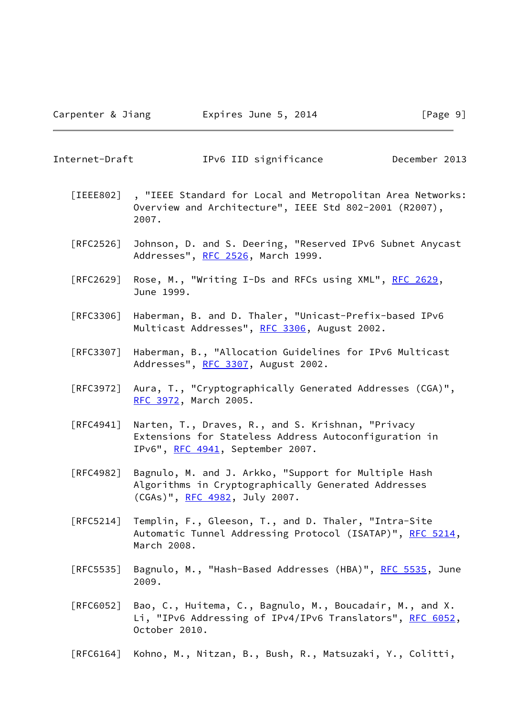Internet-Draft IPv6 IID significance December 2013

- <span id="page-10-0"></span> [IEEE802] , "IEEE Standard for Local and Metropolitan Area Networks: Overview and Architecture", IEEE Std 802-2001 (R2007), 2007.
- [RFC2526] Johnson, D. and S. Deering, "Reserved IPv6 Subnet Anycast Addresses", [RFC 2526,](https://datatracker.ietf.org/doc/pdf/rfc2526) March 1999.
- [RFC2629] Rose, M., "Writing I-Ds and RFCs using XML", [RFC 2629](https://datatracker.ietf.org/doc/pdf/rfc2629), June 1999.
- [RFC3306] Haberman, B. and D. Thaler, "Unicast-Prefix-based IPv6 Multicast Addresses", [RFC 3306](https://datatracker.ietf.org/doc/pdf/rfc3306), August 2002.
- [RFC3307] Haberman, B., "Allocation Guidelines for IPv6 Multicast Addresses", [RFC 3307,](https://datatracker.ietf.org/doc/pdf/rfc3307) August 2002.
- [RFC3972] Aura, T., "Cryptographically Generated Addresses (CGA)", [RFC 3972,](https://datatracker.ietf.org/doc/pdf/rfc3972) March 2005.
- [RFC4941] Narten, T., Draves, R., and S. Krishnan, "Privacy Extensions for Stateless Address Autoconfiguration in IPv6", [RFC 4941](https://datatracker.ietf.org/doc/pdf/rfc4941), September 2007.
- [RFC4982] Bagnulo, M. and J. Arkko, "Support for Multiple Hash Algorithms in Cryptographically Generated Addresses (CGAs)", [RFC 4982,](https://datatracker.ietf.org/doc/pdf/rfc4982) July 2007.
- [RFC5214] Templin, F., Gleeson, T., and D. Thaler, "Intra-Site Automatic Tunnel Addressing Protocol (ISATAP)", [RFC 5214,](https://datatracker.ietf.org/doc/pdf/rfc5214) March 2008.
- [RFC5535] Bagnulo, M., "Hash-Based Addresses (HBA)", <u>RFC 5535</u>, June 2009.
- [RFC6052] Bao, C., Huitema, C., Bagnulo, M., Boucadair, M., and X. Li, "IPv6 Addressing of IPv4/IPv6 Translators", [RFC 6052,](https://datatracker.ietf.org/doc/pdf/rfc6052) October 2010.
- [RFC6164] Kohno, M., Nitzan, B., Bush, R., Matsuzaki, Y., Colitti,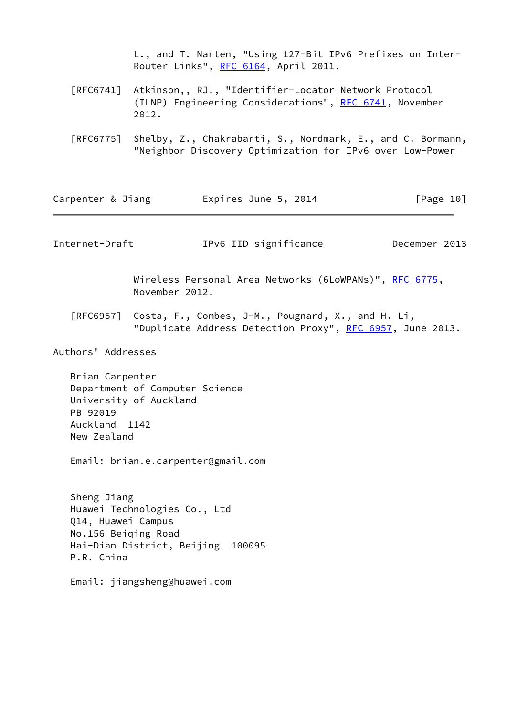L., and T. Narten, "Using 127-Bit IPv6 Prefixes on Inter- Router Links", [RFC 6164](https://datatracker.ietf.org/doc/pdf/rfc6164), April 2011.

- [RFC6741] Atkinson,, RJ., "Identifier-Locator Network Protocol (ILNP) Engineering Considerations", [RFC 6741,](https://datatracker.ietf.org/doc/pdf/rfc6741) November 2012.
- [RFC6775] Shelby, Z., Chakrabarti, S., Nordmark, E., and C. Bormann, "Neighbor Discovery Optimization for IPv6 over Low-Power

<span id="page-11-0"></span>

| Carpenter & Jiang                                                      |                                                          | Expires June 5, 2014                                                                                           | [Page 10]     |
|------------------------------------------------------------------------|----------------------------------------------------------|----------------------------------------------------------------------------------------------------------------|---------------|
| Internet-Draft                                                         |                                                          | IPv6 IID significance                                                                                          | December 2013 |
|                                                                        | November 2012.                                           | Wireless Personal Area Networks (6LoWPANs)", RFC 6775,                                                         |               |
| $\lceil \mathsf{RFC6957} \rceil$                                       |                                                          | Costa, F., Combes, J-M., Pougnard, X., and H. Li,<br>"Duplicate Address Detection Proxy", RFC 6957, June 2013. |               |
| Authors' Addresses                                                     |                                                          |                                                                                                                |               |
| Brian Carpenter<br>PB 92019<br>Auckland 1142<br>New Zealand            | Department of Computer Science<br>University of Auckland | Email: brian.e.carpenter@gmail.com                                                                             |               |
| Sheng Jiang<br>Q14, Huawei Campus<br>No.156 Beiqing Road<br>P.R. China | Huawei Technologies Co., Ltd                             | Hai-Dian District, Beijing 100095                                                                              |               |
|                                                                        | Email: jiangsheng@huawei.com                             |                                                                                                                |               |